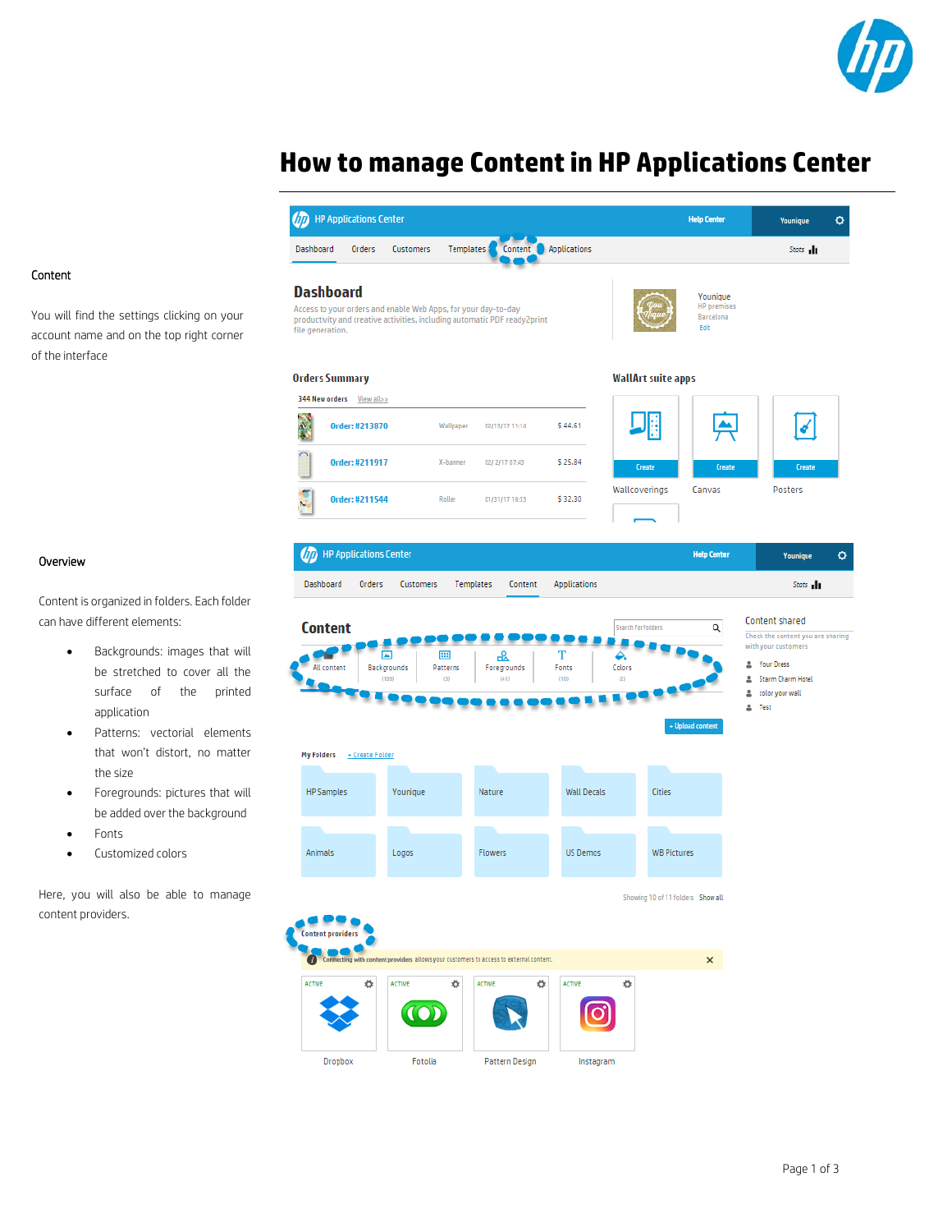

# **How to manage Content in HP Applications Center**



### Content

You will find the settings clicking on your account name and on the top right corner of the interface

#### Overview

Content is organized in folders. Each folder can have different elements:

- Backgrounds: images that will be stretched to cover all the surface of the printed application
- Patterns: vectorial elements that won't distort, no matter the size
- Foregrounds: pictures that will be added over the background
- Fonts
- Customized colors

Here, you will also be able to manage content providers.

Dropbox

Fotolia

Pattern Design

Instagram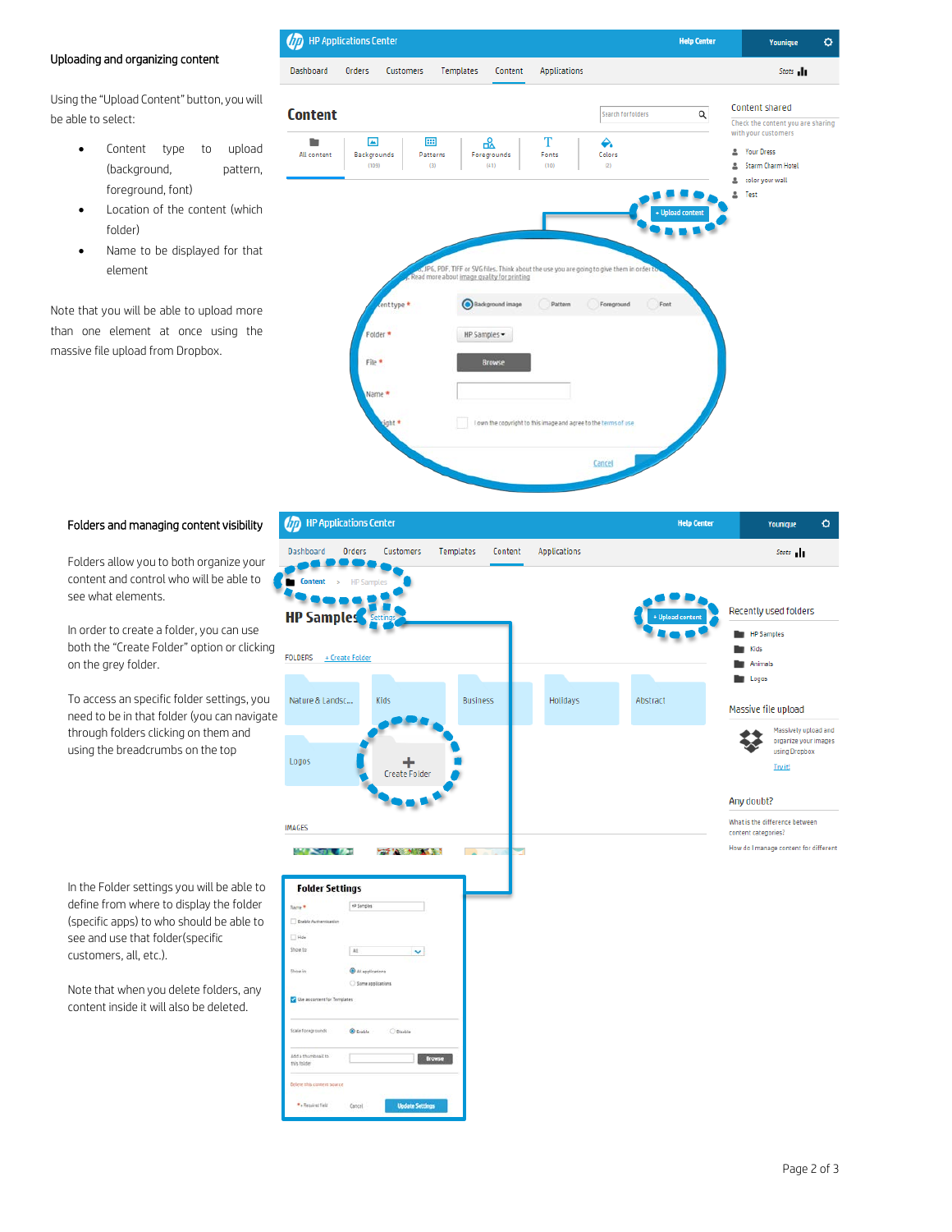## Uploading and organizing content

Using the "Upload Content" button, you will be able to select:

- Content type to upload (background, pattern, foreground, font)
- Location of the content (which folder)
- Name to be displayed for that element

Note that you will be able to upload more than one element at once using the massive file upload from Dropbox.



### Folders and managing content visibility

Folders allow you to both organize your content and control who will be able to see what elements.

In order to create a folder, you can use both the "Create Folder" option or clicking on the grey folder.

To access an specific folder settings, you need to be in that folder (you can navigate through folders clicking on them and using the breadcrumbs on the top

In the Folder settings you will be able to define from where to display the folder (specific apps) to who should be able to see and use that folder(specific customers, all, etc.).

Note that when you delete folders, any content inside it will also be deleted.